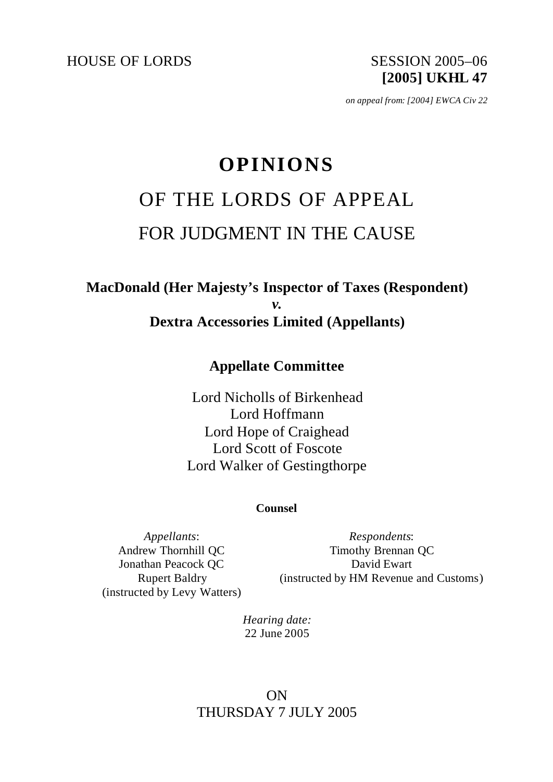HOUSE OF LORDS SESSION 2005-06

**[2005] UKHL 47**

*on appeal from: [2004] EWCA Civ 22*

# **OPINIONS** OF THE LORDS OF APPEAL FOR JUDGMENT IN THE CAUSE

# **MacDonald (Her Majesty's Inspector of Taxes (Respondent)** *v.* **Dextra Accessories Limited (Appellants)**

# **Appellate Committee**

Lord Nicholls of Birkenhead Lord Hoffmann Lord Hope of Craighead Lord Scott of Foscote Lord Walker of Gestingthorpe

#### **Counsel**

*Appellants*: Andrew Thornhill QC Jonathan Peacock QC Rupert Baldry (instructed by Levy Watters)

*Respondents*: Timothy Brennan QC David Ewart (instructed by HM Revenue and Customs)

*Hearing date:* 22 June 2005

# ON THURSDAY 7 JULY 2005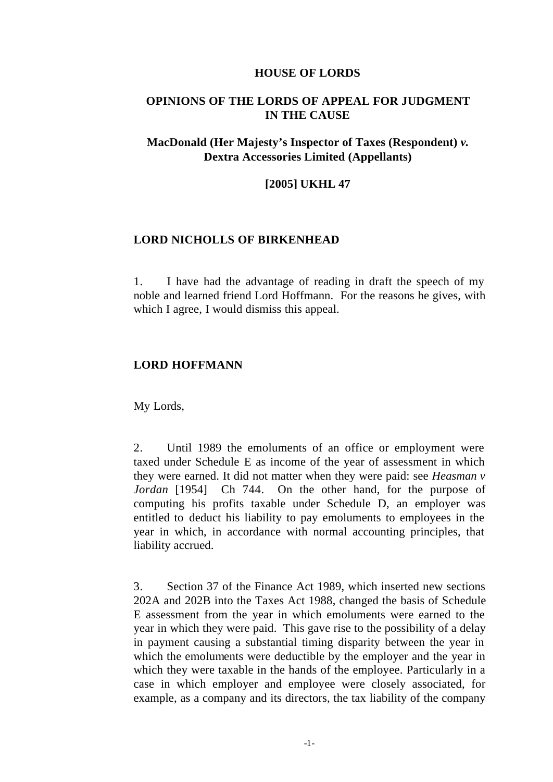#### **HOUSE OF LORDS**

### **OPINIONS OF THE LORDS OF APPEAL FOR JUDGMENT IN THE CAUSE**

## **MacDonald (Her Majesty's Inspector of Taxes (Respondent)** *v.*  **Dextra Accessories Limited (Appellants)**

#### **[2005] UKHL 47**

#### **LORD NICHOLLS OF BIRKENHEAD**

1. I have had the advantage of reading in draft the speech of my noble and learned friend Lord Hoffmann. For the reasons he gives, with which I agree, I would dismiss this appeal.

#### **LORD HOFFMANN**

My Lords,

2. Until 1989 the emoluments of an office or employment were taxed under Schedule E as income of the year of assessment in which they were earned. It did not matter when they were paid: see *Heasman v Jordan* [1954] Ch 744. On the other hand, for the purpose of computing his profits taxable under Schedule D, an employer was entitled to deduct his liability to pay emoluments to employees in the year in which, in accordance with normal accounting principles, that liability accrued.

3. Section 37 of the Finance Act 1989, which inserted new sections 202A and 202B into the Taxes Act 1988, changed the basis of Schedule E assessment from the year in which emoluments were earned to the year in which they were paid. This gave rise to the possibility of a delay in payment causing a substantial timing disparity between the year in which the emoluments were deductible by the employer and the year in which they were taxable in the hands of the employee. Particularly in a case in which employer and employee were closely associated, for example, as a company and its directors, the tax liability of the company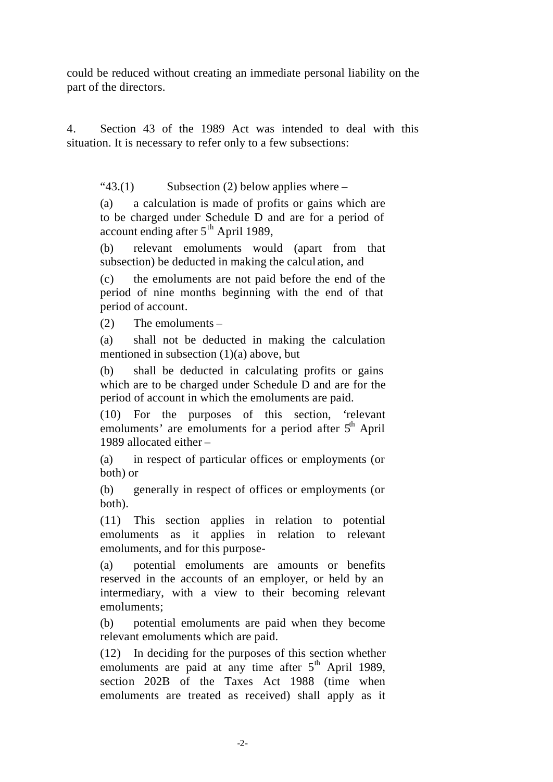could be reduced without creating an immediate personal liability on the part of the directors.

4. Section 43 of the 1989 Act was intended to deal with this situation. It is necessary to refer only to a few subsections:

" $43.(1)$  Subsection (2) below applies where –

(a) a calculation is made of profits or gains which are to be charged under Schedule D and are for a period of account ending after  $5<sup>th</sup>$  April 1989,

(b) relevant emoluments would (apart from that subsection) be deducted in making the calcul ation, and

(c) the emoluments are not paid before the end of the period of nine months beginning with the end of that period of account.

(2) The emoluments –

(a) shall not be deducted in making the calculation mentioned in subsection (1)(a) above, but

(b) shall be deducted in calculating profits or gains which are to be charged under Schedule D and are for the period of account in which the emoluments are paid.

(10) For the purposes of this section, 'relevant emoluments' are emoluments for a period after  $5<sup>th</sup>$  April 1989 allocated either –

(a) in respect of particular offices or employments (or both) or

(b) generally in respect of offices or employments (or both).

(11) This section applies in relation to potential emoluments as it applies in relation to relevant emoluments, and for this purpose-

(a) potential emoluments are amounts or benefits reserved in the accounts of an employer, or held by an intermediary, with a view to their becoming relevant emoluments;

(b) potential emoluments are paid when they become relevant emoluments which are paid.

(12) In deciding for the purposes of this section whether emoluments are paid at any time after  $5<sup>th</sup>$  April 1989, section 202B of the Taxes Act 1988 (time when emoluments are treated as received) shall apply as it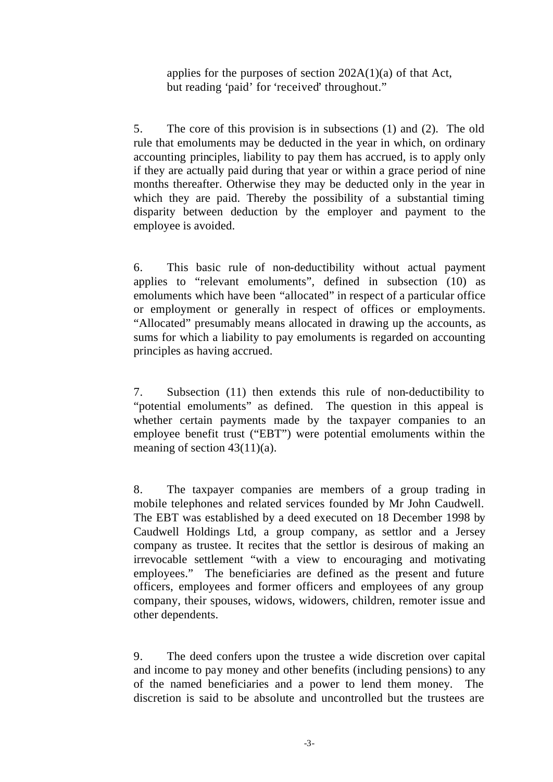applies for the purposes of section  $202A(1)(a)$  of that Act, but reading 'paid' for 'received' throughout."

5. The core of this provision is in subsections (1) and (2). The old rule that emoluments may be deducted in the year in which, on ordinary accounting principles, liability to pay them has accrued, is to apply only if they are actually paid during that year or within a grace period of nine months thereafter. Otherwise they may be deducted only in the year in which they are paid. Thereby the possibility of a substantial timing disparity between deduction by the employer and payment to the employee is avoided.

6. This basic rule of non-deductibility without actual payment applies to "relevant emoluments", defined in subsection (10) as emoluments which have been "allocated" in respect of a particular office or employment or generally in respect of offices or employments. "Allocated" presumably means allocated in drawing up the accounts, as sums for which a liability to pay emoluments is regarded on accounting principles as having accrued.

7. Subsection (11) then extends this rule of non-deductibility to "potential emoluments" as defined. The question in this appeal is whether certain payments made by the taxpayer companies to an employee benefit trust ("EBT") were potential emoluments within the meaning of section 43(11)(a).

8. The taxpayer companies are members of a group trading in mobile telephones and related services founded by Mr John Caudwell. The EBT was established by a deed executed on 18 December 1998 by Caudwell Holdings Ltd, a group company, as settlor and a Jersey company as trustee. It recites that the settlor is desirous of making an irrevocable settlement "with a view to encouraging and motivating employees." The beneficiaries are defined as the present and future officers, employees and former officers and employees of any group company, their spouses, widows, widowers, children, remoter issue and other dependents.

9. The deed confers upon the trustee a wide discretion over capital and income to pay money and other benefits (including pensions) to any of the named beneficiaries and a power to lend them money. The discretion is said to be absolute and uncontrolled but the trustees are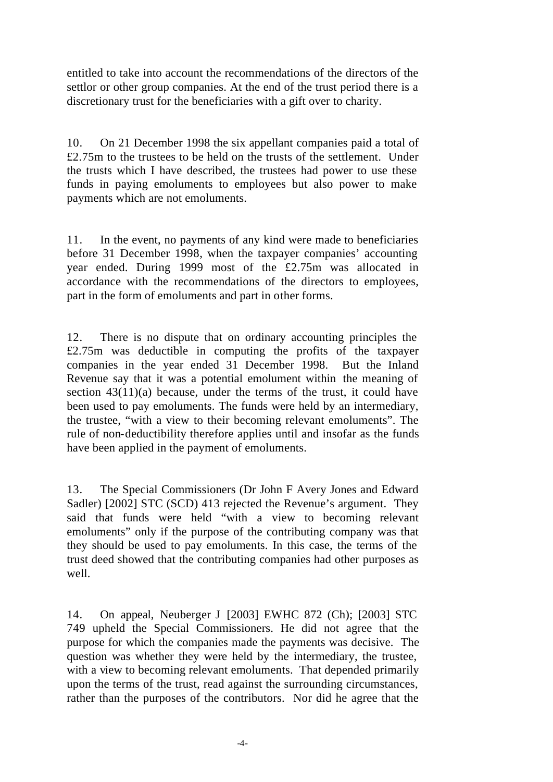entitled to take into account the recommendations of the directors of the settlor or other group companies. At the end of the trust period there is a discretionary trust for the beneficiaries with a gift over to charity.

10. On 21 December 1998 the six appellant companies paid a total of £2.75m to the trustees to be held on the trusts of the settlement. Under the trusts which I have described, the trustees had power to use these funds in paying emoluments to employees but also power to make payments which are not emoluments.

11. In the event, no payments of any kind were made to beneficiaries before 31 December 1998, when the taxpayer companies' accounting year ended. During 1999 most of the £2.75m was allocated in accordance with the recommendations of the directors to employees, part in the form of emoluments and part in other forms.

12. There is no dispute that on ordinary accounting principles the £2.75m was deductible in computing the profits of the taxpayer companies in the year ended 31 December 1998. But the Inland Revenue say that it was a potential emolument within the meaning of section  $43(11)(a)$  because, under the terms of the trust, it could have been used to pay emoluments. The funds were held by an intermediary, the trustee, "with a view to their becoming relevant emoluments". The rule of non-deductibility therefore applies until and insofar as the funds have been applied in the payment of emoluments.

13. The Special Commissioners (Dr John F Avery Jones and Edward Sadler) [2002] STC (SCD) 413 rejected the Revenue's argument. They said that funds were held "with a view to becoming relevant emoluments" only if the purpose of the contributing company was that they should be used to pay emoluments. In this case, the terms of the trust deed showed that the contributing companies had other purposes as well.

14. On appeal, Neuberger J [2003] EWHC 872 (Ch); [2003] STC 749 upheld the Special Commissioners. He did not agree that the purpose for which the companies made the payments was decisive. The question was whether they were held by the intermediary, the trustee, with a view to becoming relevant emoluments. That depended primarily upon the terms of the trust, read against the surrounding circumstances, rather than the purposes of the contributors. Nor did he agree that the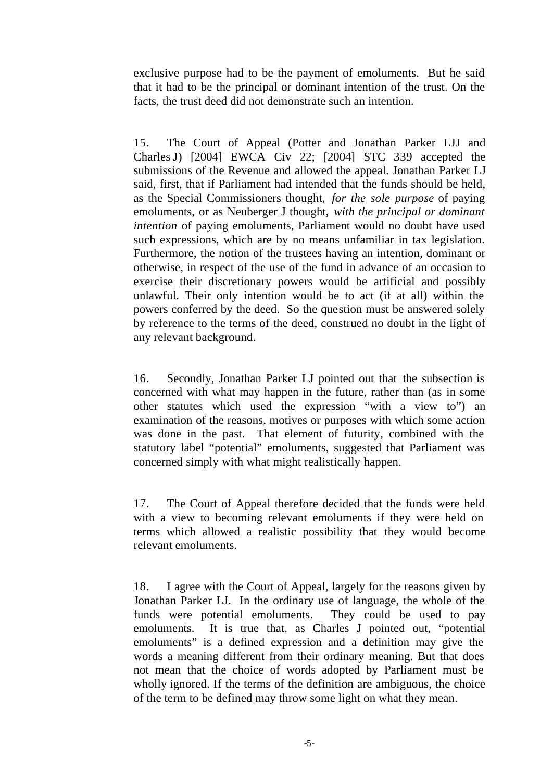exclusive purpose had to be the payment of emoluments. But he said that it had to be the principal or dominant intention of the trust. On the facts, the trust deed did not demonstrate such an intention.

15. The Court of Appeal (Potter and Jonathan Parker LJJ and Charles J) [2004] EWCA Civ 22; [2004] STC 339 accepted the submissions of the Revenue and allowed the appeal. Jonathan Parker LJ said, first, that if Parliament had intended that the funds should be held, as the Special Commissioners thought, *for the sole purpose* of paying emoluments, or as Neuberger J thought, *with the principal or dominant intention* of paying emoluments, Parliament would no doubt have used such expressions, which are by no means unfamiliar in tax legislation. Furthermore, the notion of the trustees having an intention, dominant or otherwise, in respect of the use of the fund in advance of an occasion to exercise their discretionary powers would be artificial and possibly unlawful. Their only intention would be to act (if at all) within the powers conferred by the deed. So the question must be answered solely by reference to the terms of the deed, construed no doubt in the light of any relevant background.

16. Secondly, Jonathan Parker LJ pointed out that the subsection is concerned with what may happen in the future, rather than (as in some other statutes which used the expression "with a view to") an examination of the reasons, motives or purposes with which some action was done in the past. That element of futurity, combined with the statutory label "potential" emoluments, suggested that Parliament was concerned simply with what might realistically happen.

17. The Court of Appeal therefore decided that the funds were held with a view to becoming relevant emoluments if they were held on terms which allowed a realistic possibility that they would become relevant emoluments.

18. I agree with the Court of Appeal, largely for the reasons given by Jonathan Parker LJ. In the ordinary use of language, the whole of the funds were potential emoluments. They could be used to pay emoluments. It is true that, as Charles J pointed out, "potential emoluments" is a defined expression and a definition may give the words a meaning different from their ordinary meaning. But that does not mean that the choice of words adopted by Parliament must be wholly ignored. If the terms of the definition are ambiguous, the choice of the term to be defined may throw some light on what they mean.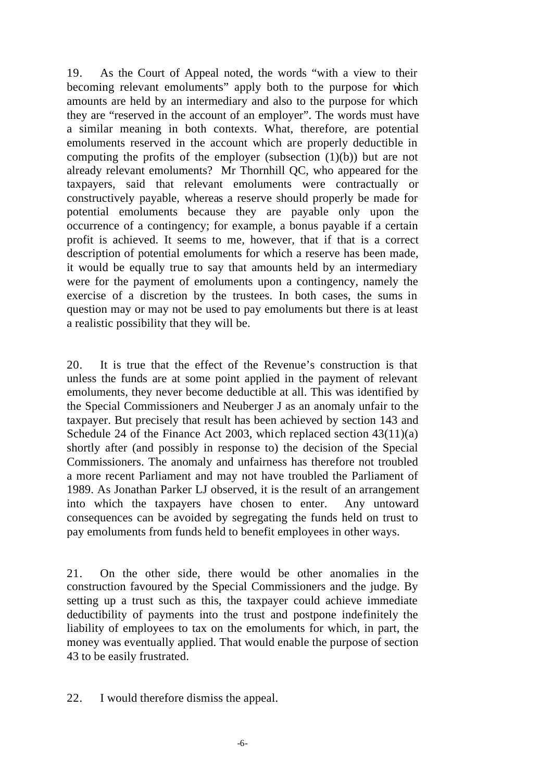19. As the Court of Appeal noted, the words "with a view to their becoming relevant emoluments" apply both to the purpose for which amounts are held by an intermediary and also to the purpose for which they are "reserved in the account of an employer". The words must have a similar meaning in both contexts. What, therefore, are potential emoluments reserved in the account which are properly deductible in computing the profits of the employer (subsection  $(1)(b)$ ) but are not already relevant emoluments? Mr Thornhill QC, who appeared for the taxpayers, said that relevant emoluments were contractually or constructively payable, whereas a reserve should properly be made for potential emoluments because they are payable only upon the occurrence of a contingency; for example, a bonus payable if a certain profit is achieved. It seems to me, however, that if that is a correct description of potential emoluments for which a reserve has been made, it would be equally true to say that amounts held by an intermediary were for the payment of emoluments upon a contingency, namely the exercise of a discretion by the trustees. In both cases, the sums in question may or may not be used to pay emoluments but there is at least a realistic possibility that they will be.

20. It is true that the effect of the Revenue's construction is that unless the funds are at some point applied in the payment of relevant emoluments, they never become deductible at all. This was identified by the Special Commissioners and Neuberger J as an anomaly unfair to the taxpayer. But precisely that result has been achieved by section 143 and Schedule 24 of the Finance Act 2003, which replaced section 43(11)(a) shortly after (and possibly in response to) the decision of the Special Commissioners. The anomaly and unfairness has therefore not troubled a more recent Parliament and may not have troubled the Parliament of 1989. As Jonathan Parker LJ observed, it is the result of an arrangement into which the taxpayers have chosen to enter. Any untoward consequences can be avoided by segregating the funds held on trust to pay emoluments from funds held to benefit employees in other ways.

21. On the other side, there would be other anomalies in the construction favoured by the Special Commissioners and the judge. By setting up a trust such as this, the taxpayer could achieve immediate deductibility of payments into the trust and postpone indefinitely the liability of employees to tax on the emoluments for which, in part, the money was eventually applied. That would enable the purpose of section 43 to be easily frustrated.

22. I would therefore dismiss the appeal.